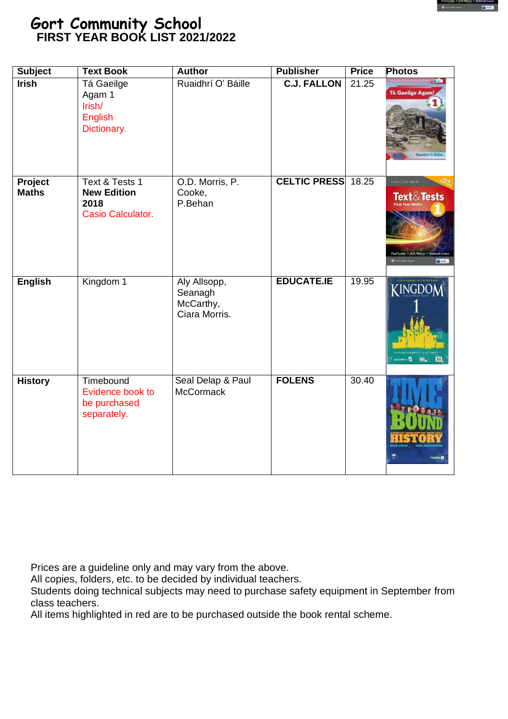

#### **Gort Community School FIRST YEAR BOOK LIST 2021/2022**

| <b>Subject</b>          | <b>Text Book</b>                                                  | <b>Author</b>                                         | <b>Publisher</b>    | <b>Price</b>       | <b>Photos</b>                                                                                   |
|-------------------------|-------------------------------------------------------------------|-------------------------------------------------------|---------------------|--------------------|-------------------------------------------------------------------------------------------------|
| <b>Irish</b>            | Tá Gaeilge<br>Agam 1<br>Irish/<br>English<br>Dictionary.          | Ruaidhrí O' Báille                                    | <b>C.J. FALLON</b>  | 21.25              | Tá Gaeilge Agam                                                                                 |
| Project<br><b>Maths</b> | Text & Tests 1<br><b>New Edition</b><br>2018<br>Casio Calculator. | O.D. Morris, P.<br>Cooke,<br>P.Behan                  | <b>CELTIC PRESS</b> | 18.25              | lunior Cycle Maths<br><b>Text &amp; Tests</b><br>Paul Cooke + O.D. Morris + Del<br>$\sqrt{364}$ |
| <b>English</b>          | Kingdom 1                                                         | Aly Allsopp,<br>Seanagh<br>McCarthy,<br>Ciara Morris. | <b>EDUCATE.IE</b>   | 19.95              | KINGDOM<br>sciucote.le<br><b>EMPL</b><br>$^{\rm m}$                                             |
| <b>History</b>          | Timebound<br>Evidence book to<br>be purchased<br>separately.      | Seal Delap & Paul<br><b>McCormack</b>                 | <b>FOLENS</b>       | $\overline{30.40}$ | FOLENS <sup>O</sup>                                                                             |

Prices are a guideline only and may vary from the above.

All copies, folders, etc. to be decided by individual teachers.

Students doing technical subjects may need to purchase safety equipment in September from class teachers.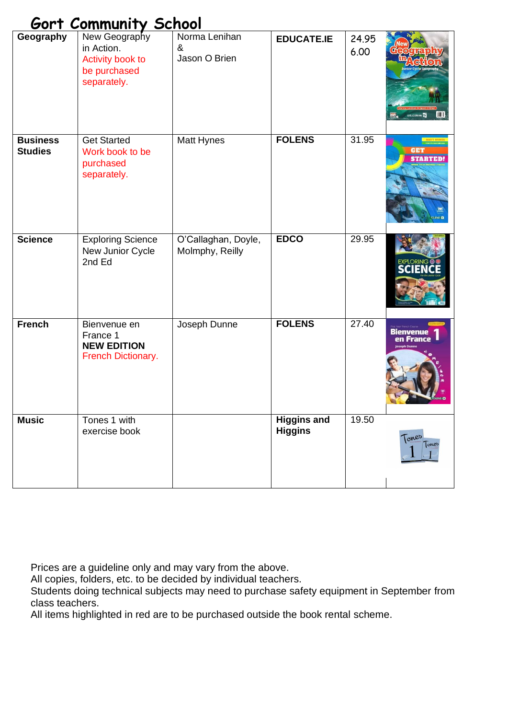|                                   | <u>Gort Community School</u>                                                   |                                        |                                      |               |                               |
|-----------------------------------|--------------------------------------------------------------------------------|----------------------------------------|--------------------------------------|---------------|-------------------------------|
| Geography                         | New Geography<br>in Action.<br>Activity book to<br>be purchased<br>separately. | Norma Lenihan<br>&<br>Jason O Brien    | <b>EDUCATE.IE</b>                    | 24.95<br>6.00 | JULI                          |
| <b>Business</b><br><b>Studies</b> | <b>Get Started</b><br>Work book to be<br>purchased<br>separately.              | Matt Hynes                             | <b>FOLENS</b>                        | 31.95         | <b>GET</b><br><b>STARTED!</b> |
| <b>Science</b>                    | <b>Exploring Science</b><br>New Junior Cycle<br>2nd Ed                         | O'Callaghan, Doyle,<br>Molmphy, Reilly | <b>EDCO</b>                          | 29.95         | <b>SCIEN</b>                  |
| <b>French</b>                     | Bienvenue en<br>France 1<br><b>NEW EDITION</b><br>French Dictionary.           | Joseph Dunne                           | <b>FOLENS</b>                        | 27.40         | <b>Bienvenue</b><br>en France |
| <b>Music</b>                      | Tones 1 with<br>exercise book                                                  |                                        | <b>Higgins and</b><br><b>Higgins</b> | 19.50         | Tones<br>lones                |

All copies, folders, etc. to be decided by individual teachers.

Students doing technical subjects may need to purchase safety equipment in September from class teachers.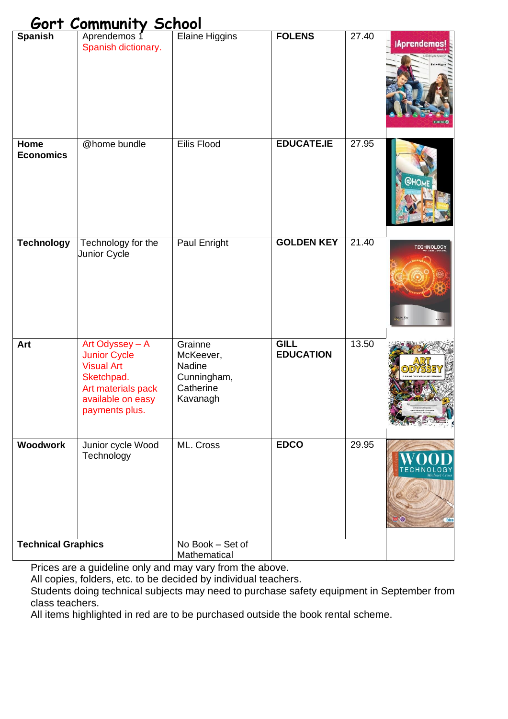| <b>Spanish</b>            | Aprendemos 1<br>Spanish dictionary.                                                                                                    | <b>Elaine Higgins</b>                                                  | <b>FOLENS</b>                   | 27.40 | <i>iAprendemos!</i> |
|---------------------------|----------------------------------------------------------------------------------------------------------------------------------------|------------------------------------------------------------------------|---------------------------------|-------|---------------------|
| Home<br><b>Economics</b>  | @home bundle                                                                                                                           | Eilis Flood                                                            | <b>EDUCATE.IE</b>               | 27.95 | <b>@HOME</b>        |
| <b>Technology</b>         | Technology for the<br>Junior Cycle                                                                                                     | Paul Enright                                                           | <b>GOLDEN KEY</b>               | 21.40 | <b>TECHNOLOGY</b>   |
| Art                       | Art Odyssey - A<br><b>Junior Cycle</b><br><b>Visual Art</b><br>Sketchpad.<br>Art materials pack<br>available on easy<br>payments plus. | Grainne<br>McKeever,<br>Nadine<br>Cunningham,<br>Catherine<br>Kavanagh | <b>GILL</b><br><b>EDUCATION</b> | 13.50 | ART<br>ODYSSE       |
| <b>Woodwork</b>           | Junior cycle Wood<br>Technology                                                                                                        | ML. Cross                                                              | <b>EDCO</b>                     | 29.95 | $\circ$<br>Edco     |
| <b>Technical Graphics</b> |                                                                                                                                        | No Book - Set of<br>Mathematical                                       |                                 |       |                     |

Prices are a guideline only and may vary from the above.

All copies, folders, etc. to be decided by individual teachers.

Students doing technical subjects may need to purchase safety equipment in September from class teachers.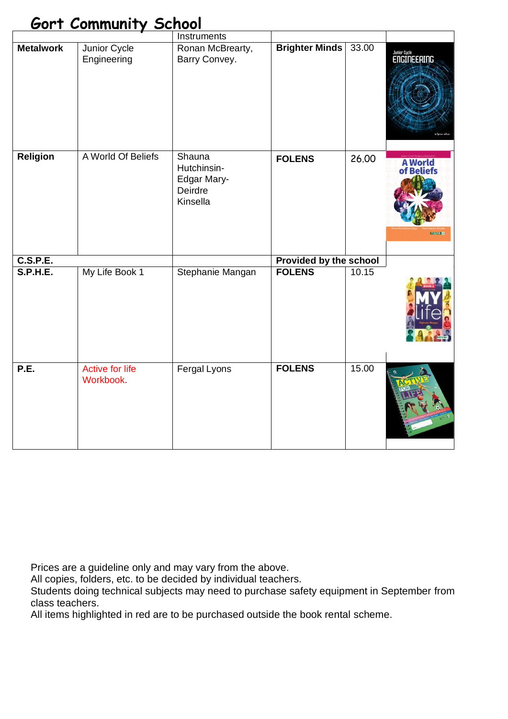|                  |                                     | Instruments                                                 |                        |       |                                        |
|------------------|-------------------------------------|-------------------------------------------------------------|------------------------|-------|----------------------------------------|
| <b>Metalwork</b> | Junior Cycle<br>Engineering         | Ronan McBrearty,<br>Barry Convey.                           | <b>Brighter Minds</b>  | 33.00 | <b>Junior Cycle</b><br>ENGINEERING     |
| <b>Religion</b>  | A World Of Beliefs                  | Shauna<br>Hutchinsin-<br>Edgar Mary-<br>Deirdre<br>Kinsella | <b>FOLENS</b>          | 26.00 | <b>A World</b><br>Rel<br><b>FOLENS</b> |
| <b>C.S.P.E.</b>  |                                     |                                                             | Provided by the school |       |                                        |
| <b>S.P.H.E.</b>  | My Life Book 1                      | Stephanie Mangan                                            | <b>FOLENS</b>          | 10.15 |                                        |
| P.E.             | <b>Active for life</b><br>Workbook. | Fergal Lyons                                                | <b>FOLENS</b>          | 15.00 |                                        |

Prices are a guideline only and may vary from the above.

All copies, folders, etc. to be decided by individual teachers.

Students doing technical subjects may need to purchase safety equipment in September from class teachers.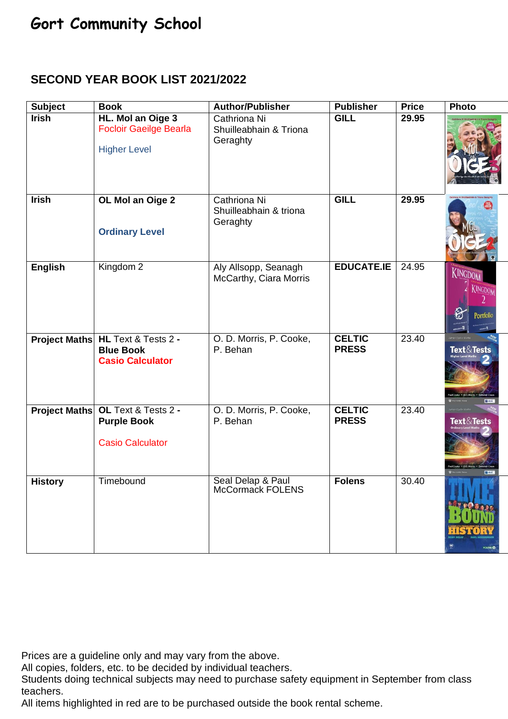#### **SECOND YEAR BOOK LIST 2021/2022**

| <b>Subject</b> | <b>Book</b>                                                                        | <b>Author/Publisher</b>                            | <b>Publisher</b>              | <b>Price</b> | Photo                                                          |
|----------------|------------------------------------------------------------------------------------|----------------------------------------------------|-------------------------------|--------------|----------------------------------------------------------------|
| <b>Irish</b>   | HL. Mol an Oige 3<br><b>Focloir Gaeilge Bearla</b><br><b>Higher Level</b>          | Cathriona Ni<br>Shuilleabhain & Triona<br>Geraghty | <b>GILL</b>                   | 29.95        |                                                                |
| <b>Irish</b>   | OL Mol an Oige 2<br><b>Ordinary Level</b>                                          | Cathriona Ni<br>Shuilleabhain & triona<br>Geraghty | <b>GILL</b>                   | 29.95        |                                                                |
| <b>English</b> | Kingdom <sub>2</sub>                                                               | Aly Allsopp, Seanagh<br>McCarthy, Ciara Morris     | <b>EDUCATE.IE</b>             | 24.95        | KINGDOM<br>KINGDOM<br>Portfolio<br><sub>cont</sub> a¶<br>$E =$ |
|                | Project Maths HL Text & Tests 2 -<br><b>Blue Book</b><br><b>Casio Calculator</b>   | O. D. Morris, P. Cooke,<br>P. Behan                | <b>CELTIC</b><br><b>PRESS</b> | 23.40        | <b>Text &amp; Tests</b>                                        |
|                | Project Maths OL Text & Tests 2 -<br><b>Purple Book</b><br><b>Casio Calculator</b> | O. D. Morris, P. Cooke,<br>P. Behan                | <b>CELTIC</b><br><b>PRESS</b> | 23.40        | <b>Text&amp;Tests</b>                                          |
| <b>History</b> | Timebound                                                                          | Seal Delap & Paul<br><b>McCormack FOLENS</b>       | <b>Folens</b>                 | 30.40        | FOLENS O                                                       |

Prices are a guideline only and may vary from the above.

All copies, folders, etc. to be decided by individual teachers.

Students doing technical subjects may need to purchase safety equipment in September from class teachers.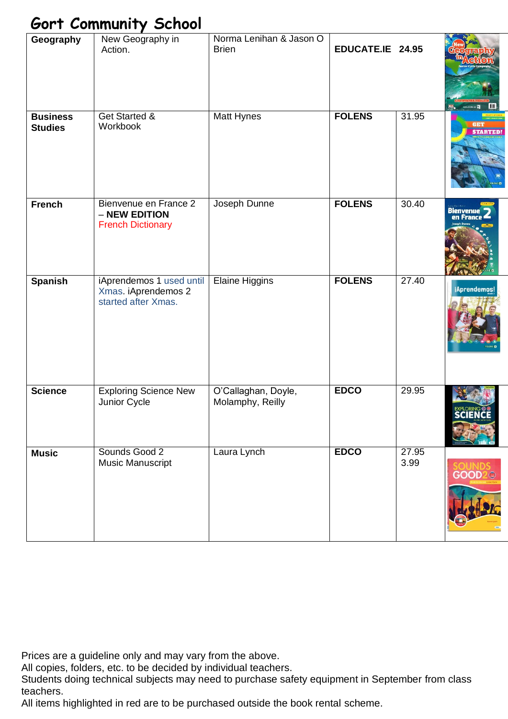| Geography                         | New Geography in<br>Action.                                            | Norma Lenihan & Jason O<br><b>Brien</b> | EDUCATE.IE 24.95 |               |                        |
|-----------------------------------|------------------------------------------------------------------------|-----------------------------------------|------------------|---------------|------------------------|
| <b>Business</b><br><b>Studies</b> | Get Started &<br>Workbook                                              | Matt Hynes                              | <b>FOLENS</b>    | 31.95         | <b>STARTED!</b>        |
| <b>French</b>                     | Bienvenue en France 2<br>- NEW EDITION<br><b>French Dictionary</b>     | Joseph Dunne                            | <b>FOLENS</b>    | 30.40         | Bienvenue<br>en France |
| <b>Spanish</b>                    | iAprendemos 1 used until<br>Xmas. iAprendemos 2<br>started after Xmas. | <b>Elaine Higgins</b>                   | <b>FOLENS</b>    | 27.40         | iAprendemos!           |
| <b>Science</b>                    | <b>Exploring Science New</b><br>Junior Cycle                           | O'Callaghan, Doyle,<br>Molamphy, Reilly | <b>EDCO</b>      | 29.95         | <b>EXPLORIN</b>        |
| <b>Music</b>                      | Sounds Good 2<br>Music Manuscript                                      | Laura Lynch                             | <b>EDCO</b>      | 27.95<br>3.99 | <b>GOOD</b>            |

Prices are a guideline only and may vary from the above.

All copies, folders, etc. to be decided by individual teachers.

Students doing technical subjects may need to purchase safety equipment in September from class teachers.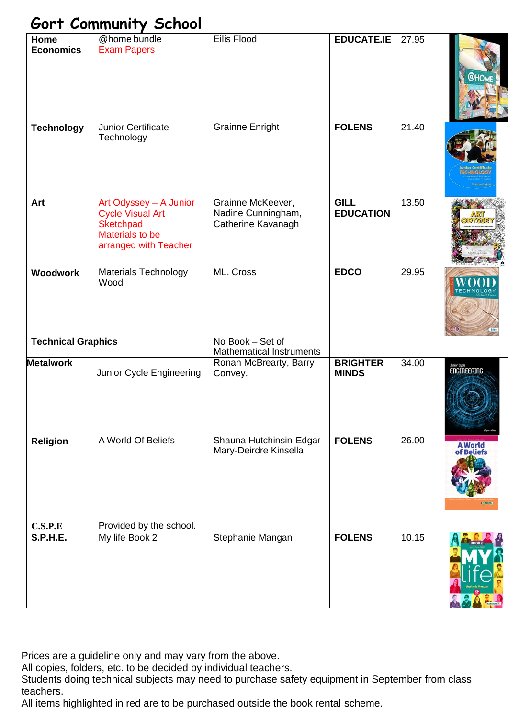| Home<br><b>Economics</b>  | @home bundle<br><b>Exam Papers</b>                                                                                       | <b>Eilis Flood</b>                                            | <b>EDUCATE.IE</b>               | 27.95 | <b>QHO</b>                              |
|---------------------------|--------------------------------------------------------------------------------------------------------------------------|---------------------------------------------------------------|---------------------------------|-------|-----------------------------------------|
| <b>Technology</b>         | Junior Certificate<br>Technology                                                                                         | <b>Grainne Enright</b>                                        | <b>FOLENS</b>                   | 21.40 |                                         |
| Art                       | Art Odyssey - A Junior<br><b>Cycle Visual Art</b><br><b>Sketchpad</b><br><b>Materials to be</b><br>arranged with Teacher | Grainne McKeever,<br>Nadine Cunningham,<br>Catherine Kavanagh | <b>GILL</b><br><b>EDUCATION</b> | 13.50 |                                         |
| <b>Woodwork</b>           | <b>Materials Technology</b><br>Wood                                                                                      | ML. Cross                                                     | <b>EDCO</b>                     | 29.95 |                                         |
| <b>Technical Graphics</b> |                                                                                                                          | No Book - Set of<br><b>Mathematical Instruments</b>           |                                 |       |                                         |
| <b>Metalwork</b>          | Junior Cycle Engineering                                                                                                 | Ronan McBrearty, Barry<br>Convey.                             | <b>BRIGHTER</b><br><b>MINDS</b> | 34.00 | <b>Junior Cycle</b><br>ENGINEERING      |
| Religion                  | A World Of Beliefs                                                                                                       | Shauna Hutchinsin-Edgar<br>Mary-Deirdre Kinsella              | <b>FOLENS</b>                   | 26.00 | <b>A</b> World<br>of Beliefs<br>touns C |
| C.S.P.E                   | Provided by the school.                                                                                                  |                                                               |                                 |       |                                         |
| <b>S.P.H.E.</b>           | My life Book 2                                                                                                           | Stephanie Mangan                                              | <b>FOLENS</b>                   | 10.15 |                                         |

Prices are a guideline only and may vary from the above.

All copies, folders, etc. to be decided by individual teachers.

Students doing technical subjects may need to purchase safety equipment in September from class teachers.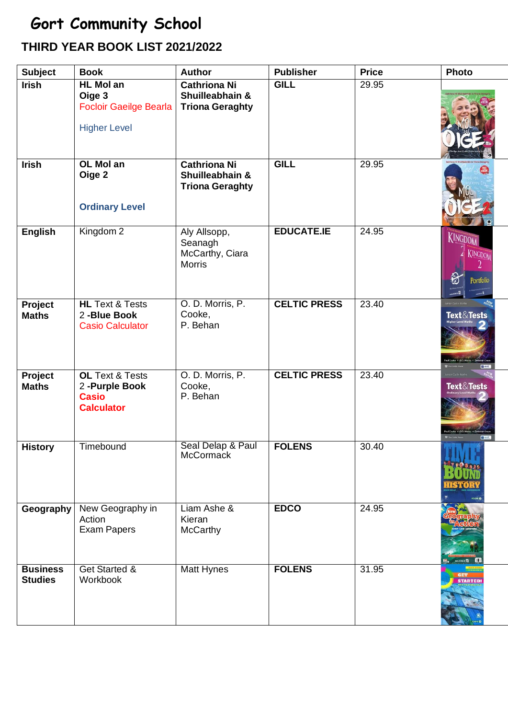### **THIRD YEAR BOOK LIST 2021/2022**

| <b>Subject</b>                    | <b>Book</b>                                                                        | <b>Author</b>                                                    | <b>Publisher</b>    | <b>Price</b> | Photo                                       |
|-----------------------------------|------------------------------------------------------------------------------------|------------------------------------------------------------------|---------------------|--------------|---------------------------------------------|
| <b>Irish</b>                      | <b>HL Mol an</b><br>Oige 3<br><b>Focloir Gaeilge Bearla</b><br><b>Higher Level</b> | <b>Cathriona Ni</b><br>Shuilleabhain &<br><b>Triona Geraghty</b> | <b>GILL</b>         | 29.95        |                                             |
| <b>Irish</b>                      | OL Mol an<br>Oige 2<br><b>Ordinary Level</b>                                       | <b>Cathriona Ni</b><br>Shuilleabhain &<br><b>Triona Geraghty</b> | <b>GILL</b>         | 29.95        |                                             |
| <b>English</b>                    | Kingdom <sub>2</sub>                                                               | Aly Allsopp,<br>Seanagh<br>McCarthy, Ciara<br><b>Morris</b>      | <b>EDUCATE.IE</b>   | 24.95        | KINGDOM<br>KINGDOM<br>Portfolio<br>         |
| Project<br><b>Maths</b>           | <b>HL</b> Text & Tests<br>2-Blue Book<br><b>Casio Calculator</b>                   | O. D. Morris, P.<br>Cooke,<br>P. Behan                           | <b>CELTIC PRESS</b> | 23.40        | <b>Text &amp; Tests</b><br><b>Collaborn</b> |
| Project<br><b>Maths</b>           | <b>OL Text &amp; Tests</b><br>2-Purple Book<br><b>Casio</b><br><b>Calculator</b>   | O. D. Morris, P.<br>Cooke,<br>P. Behan                           | <b>CELTIC PRESS</b> | 23.40        | <b>Text&amp;Tests</b>                       |
| <b>History</b>                    | Timebound                                                                          | Seal Delap & Paul<br>McCormack                                   | <b>FOLENS</b>       | 30.40        |                                             |
| Geography                         | New Geography in<br>Action<br><b>Exam Papers</b>                                   | Liam Ashe &<br>Kieran<br><b>McCarthy</b>                         | <b>EDCO</b>         | 24.95        |                                             |
| <b>Business</b><br><b>Studies</b> | Get Started &<br>Workbook                                                          | <b>Matt Hynes</b>                                                | <b>FOLENS</b>       | 31.95        | <b>STARTED</b>                              |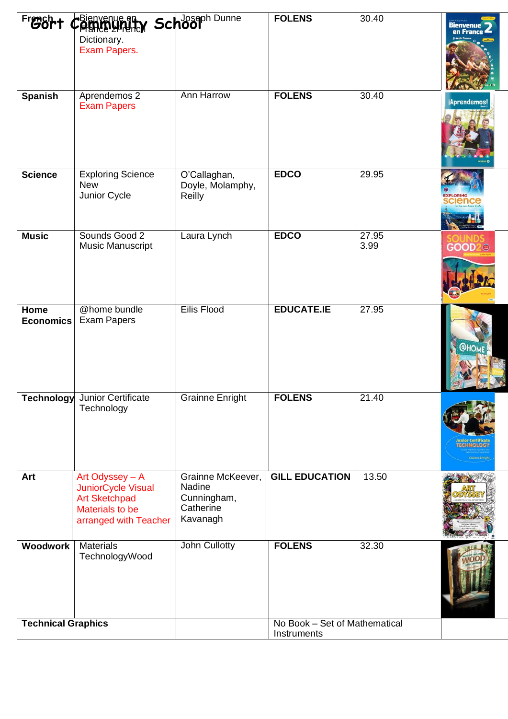| French +                  | CBienvenue et<br>Dictionary.<br>Exam Papers.                                                                     | Schooph Dunne                                                       | <b>FOLENS</b>                                | 30.40         | Bienvenue                        |
|---------------------------|------------------------------------------------------------------------------------------------------------------|---------------------------------------------------------------------|----------------------------------------------|---------------|----------------------------------|
| <b>Spanish</b>            | Aprendemos 2<br><b>Exam Papers</b>                                                                               | Ann Harrow                                                          | <b>FOLENS</b>                                | 30.40         | iAprendemos!                     |
| <b>Science</b>            | <b>Exploring Science</b><br><b>New</b><br>Junior Cycle                                                           | O'Callaghan,<br>Doyle, Molamphy,<br>Reilly                          | <b>EDCO</b>                                  | 29.95         | <b>XPLORING</b><br><b>Clence</b> |
| <b>Music</b>              | Sounds Good 2<br>Music Manuscript                                                                                | Laura Lynch                                                         | <b>EDCO</b>                                  | 27.95<br>3.99 | GOOD2 <sup>®</sup>               |
| Home<br><b>Economics</b>  | @home bundle<br><b>Exam Papers</b>                                                                               | <b>Eilis Flood</b>                                                  | <b>EDUCATE.IE</b>                            | 27.95         | <b>@НОМБ</b>                     |
|                           | Technology Junior Certificate<br>Technology                                                                      | Grainne Enright                                                     | <b>FOLENS</b>                                | 21.40         |                                  |
| Art                       | Art Odyssey - A<br><b>JuniorCycle Visual</b><br><b>Art Sketchpad</b><br>Materials to be<br>arranged with Teacher | Grainne McKeever,<br>Nadine<br>Cunningham,<br>Catherine<br>Kavanagh | <b>GILL EDUCATION</b>                        | 13.50         |                                  |
| Woodwork                  | <b>Materials</b><br>TechnologyWood                                                                               | John Cullotty                                                       | <b>FOLENS</b>                                | 32.30         |                                  |
| <b>Technical Graphics</b> |                                                                                                                  |                                                                     | No Book - Set of Mathematical<br>Instruments |               |                                  |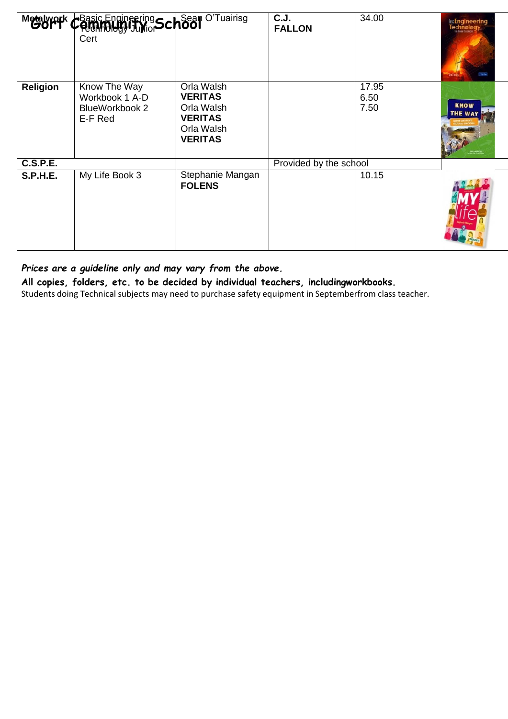|                 | Metalwork Chasic Engineering School O'Tuairisg<br>Cert      |                                                                                              | C.J.<br><b>FALLON</b>  | 34.00                 | <b>HRICE Engineering</b><br>Technology<br><b>/CFelix</b><br>Tara it Tangga |
|-----------------|-------------------------------------------------------------|----------------------------------------------------------------------------------------------|------------------------|-----------------------|----------------------------------------------------------------------------|
| <b>Religion</b> | Know The Way<br>Workbook 1 A-D<br>BlueWorkbook 2<br>E-F Red | Orla Walsh<br><b>VERITAS</b><br>Orla Walsh<br><b>VERITAS</b><br>Orla Walsh<br><b>VERITAS</b> |                        | 17.95<br>6.50<br>7.50 | <b>KNOW</b><br><b>THE WAY</b>                                              |
| <b>C.S.P.E.</b> |                                                             |                                                                                              | Provided by the school |                       |                                                                            |
| <b>S.P.H.E.</b> | My Life Book 3                                              | Stephanie Mangan<br><b>FOLENS</b>                                                            |                        | 10.15                 |                                                                            |

**All copies, folders, etc. to be decided by individual teachers, includingworkbooks.**

Students doing Technical subjects may need to purchase safety equipment in Septemberfrom class teacher.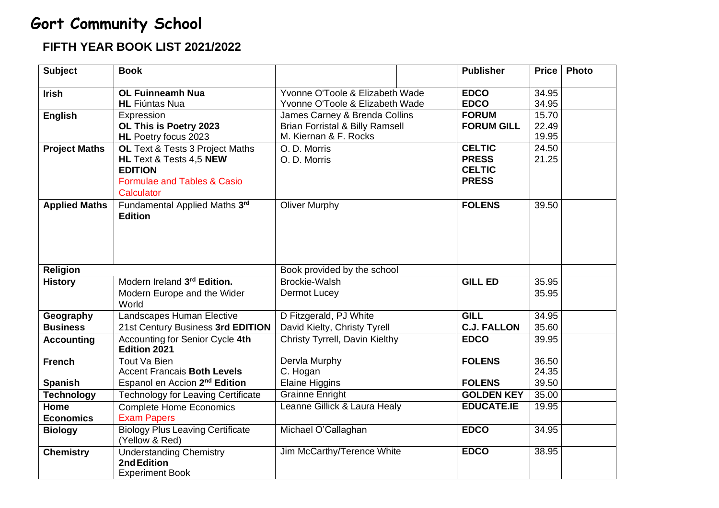#### **FIFTH YEAR BOOK LIST 2021/2022**

| <b>Subject</b>           | <b>Book</b>                                                                                                                          |                                                                                                |                                                                                                                  | <b>Publisher</b>           | <b>Price</b>            | <b>Photo</b> |
|--------------------------|--------------------------------------------------------------------------------------------------------------------------------------|------------------------------------------------------------------------------------------------|------------------------------------------------------------------------------------------------------------------|----------------------------|-------------------------|--------------|
| <b>Irish</b>             | <b>OL Fuinneamh Nua</b><br><b>HL</b> Fiúntas Nua                                                                                     | Yvonne O'Toole & Elizabeth Wade<br>Yvonne O'Toole & Elizabeth Wade                             |                                                                                                                  | <b>EDCO</b><br><b>EDCO</b> | 34.95<br>34.95          |              |
| <b>English</b>           | Expression<br>OL This is Poetry 2023<br><b>HL</b> Poetry focus 2023                                                                  | M. Kiernan & F. Rocks                                                                          | James Carney & Brenda Collins<br><b>FORUM</b><br><b>FORUM GILL</b><br><b>Brian Forristal &amp; Billy Ramsell</b> |                            | 15.70<br>22.49<br>19.95 |              |
| <b>Project Maths</b>     | OL Text & Tests 3 Project Maths<br>HL Text & Tests 4,5 NEW<br><b>EDITION</b><br><b>Formulae and Tables &amp; Casio</b><br>Calculator | <b>CELTIC</b><br>O. D. Morris<br><b>PRESS</b><br>O. D. Morris<br><b>CELTIC</b><br><b>PRESS</b> |                                                                                                                  | 24.50<br>21.25             |                         |              |
| <b>Applied Maths</b>     | Fundamental Applied Maths 3rd<br><b>Edition</b>                                                                                      | <b>Oliver Murphy</b>                                                                           |                                                                                                                  | <b>FOLENS</b>              | 39.50                   |              |
| <b>Religion</b>          |                                                                                                                                      | Book provided by the school                                                                    |                                                                                                                  |                            |                         |              |
| <b>History</b>           | Modern Ireland 3rd Edition.<br>Modern Europe and the Wider<br>World                                                                  | Brockie-Walsh<br>Dermot Lucey                                                                  |                                                                                                                  | <b>GILL ED</b>             | 35.95<br>35.95          |              |
| Geography                | Landscapes Human Elective                                                                                                            | D Fitzgerald, PJ White                                                                         |                                                                                                                  | <b>GILL</b>                | 34.95                   |              |
| <b>Business</b>          | 21st Century Business 3rd EDITION                                                                                                    | David Kielty, Christy Tyrell                                                                   |                                                                                                                  | <b>C.J. FALLON</b>         | 35.60                   |              |
| <b>Accounting</b>        | Accounting for Senior Cycle 4th<br>Edition 2021                                                                                      | Christy Tyrrell, Davin Kielthy                                                                 |                                                                                                                  | <b>EDCO</b>                | 39.95                   |              |
| <b>French</b>            | Tout Va Bien<br><b>Accent Francais Both Levels</b>                                                                                   | <b>Dervla Murphy</b><br>C. Hogan                                                               |                                                                                                                  | <b>FOLENS</b>              | 36.50<br>24.35          |              |
| <b>Spanish</b>           | Espanol en Accion 2 <sup>nd</sup> Edition                                                                                            | <b>Elaine Higgins</b>                                                                          |                                                                                                                  | <b>FOLENS</b>              | 39.50                   |              |
| <b>Technology</b>        | <b>Technology for Leaving Certificate</b>                                                                                            | <b>Grainne Enright</b>                                                                         |                                                                                                                  | <b>GOLDEN KEY</b>          | 35.00                   |              |
| Home<br><b>Economics</b> | <b>Complete Home Economics</b><br><b>Exam Papers</b>                                                                                 | Leanne Gillick & Laura Healy                                                                   |                                                                                                                  | <b>EDUCATE.IE</b>          | 19.95                   |              |
| <b>Biology</b>           | <b>Biology Plus Leaving Certificate</b><br>(Yellow & Red)                                                                            | Michael O'Callaghan                                                                            |                                                                                                                  | <b>EDCO</b>                | 34.95                   |              |
| <b>Chemistry</b>         | <b>Understanding Chemistry</b><br>2nd Edition<br><b>Experiment Book</b>                                                              | Jim McCarthy/Terence White                                                                     |                                                                                                                  | <b>EDCO</b>                | 38.95                   |              |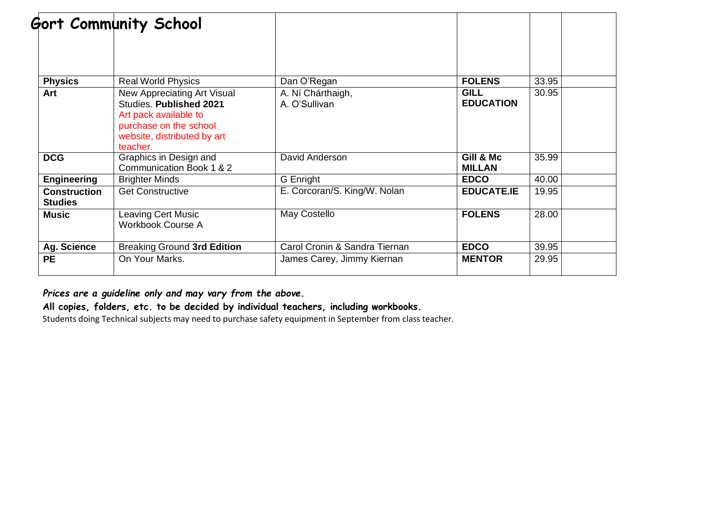|                                       | Gort Community School                                                                                                                                       |                                    |                                 |       |  |
|---------------------------------------|-------------------------------------------------------------------------------------------------------------------------------------------------------------|------------------------------------|---------------------------------|-------|--|
|                                       |                                                                                                                                                             |                                    |                                 |       |  |
| <b>Physics</b>                        | <b>Real World Physics</b>                                                                                                                                   | Dan O'Regan                        | <b>FOLENS</b>                   | 33.95 |  |
| Art                                   | New Appreciating Art Visual<br><b>Studies. Published 2021</b><br>Art pack available to<br>purchase on the school<br>website, distributed by art<br>teacher. | A. Ní Chárthaigh,<br>A. O'Sullivan | <b>GILL</b><br><b>EDUCATION</b> | 30.95 |  |
| <b>DCG</b>                            | Graphics in Design and<br>Communication Book 1 & 2                                                                                                          | David Anderson                     | Gill & Mc<br><b>MILLAN</b>      | 35.99 |  |
| <b>Engineering</b>                    | <b>Brighter Minds</b>                                                                                                                                       | G Enright                          | <b>EDCO</b>                     | 40.00 |  |
| <b>Construction</b><br><b>Studies</b> | <b>Get Constructive</b>                                                                                                                                     | E. Corcoran/S. King/W. Nolan       | <b>EDUCATE.IE</b>               | 19.95 |  |
| <b>Music</b>                          | Leaving Cert Music<br><b>Workbook Course A</b>                                                                                                              | May Costello                       | <b>FOLENS</b>                   | 28.00 |  |
| Ag. Science                           | Breaking Ground 3rd Edition                                                                                                                                 | Carol Cronin & Sandra Tiernan      | <b>EDCO</b>                     | 39.95 |  |
| <b>PE</b>                             | On Your Marks.                                                                                                                                              | James Carey, Jimmy Kiernan         | <b>MENTOR</b>                   | 29.95 |  |

**All copies, folders, etc. to be decided by individual teachers, including workbooks.**

Students doing Technical subjects may need to purchase safety equipment in September from class teacher.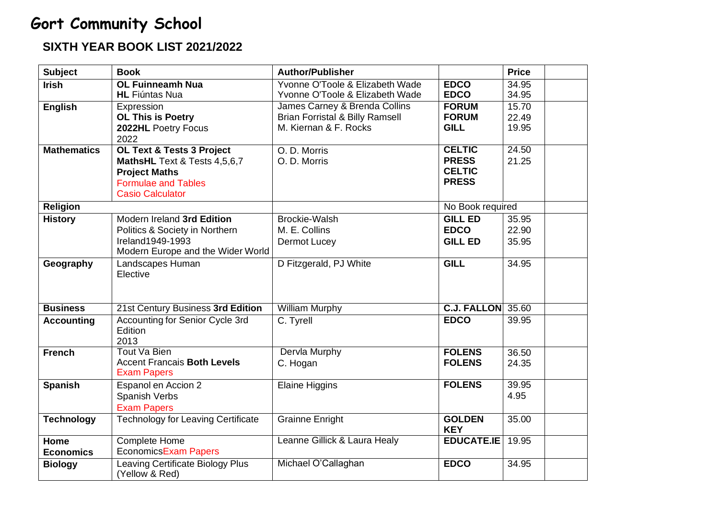#### **SIXTH YEAR BOOK LIST 2021/2022**

| <b>Subject</b>           | <b>Book</b>                                                                                                                                           | <b>Author/Publisher</b>                                                                              |                                                                | <b>Price</b>            |  |
|--------------------------|-------------------------------------------------------------------------------------------------------------------------------------------------------|------------------------------------------------------------------------------------------------------|----------------------------------------------------------------|-------------------------|--|
| <b>Irish</b>             | <b>OL Fuinneamh Nua</b><br><b>HL</b> Fiúntas Nua                                                                                                      | Yvonne O'Toole & Elizabeth Wade<br>Yvonne O'Toole & Elizabeth Wade                                   | <b>EDCO</b><br><b>EDCO</b>                                     | 34.95<br>34.95          |  |
| <b>English</b>           | Expression<br><b>OL This is Poetry</b><br>2022HL Poetry Focus<br>2022                                                                                 | James Carney & Brenda Collins<br><b>Brian Forristal &amp; Billy Ramsell</b><br>M. Kiernan & F. Rocks | <b>FORUM</b><br><b>FORUM</b><br><b>GILL</b>                    | 15.70<br>22.49<br>19.95 |  |
| <b>Mathematics</b>       | <b>OL Text &amp; Tests 3 Project</b><br>MathsHL Text & Tests 4,5,6,7<br><b>Project Maths</b><br><b>Formulae and Tables</b><br><b>Casio Calculator</b> | O. D. Morris<br>O. D. Morris                                                                         | <b>CELTIC</b><br><b>PRESS</b><br><b>CELTIC</b><br><b>PRESS</b> | 24.50<br>21.25          |  |
| <b>Religion</b>          |                                                                                                                                                       |                                                                                                      | No Book required                                               |                         |  |
| <b>History</b>           | Modern Ireland 3rd Edition<br>Politics & Society in Northern<br>Ireland1949-1993<br>Modern Europe and the Wider World                                 | Brockie-Walsh<br>M. E. Collins<br>Dermot Lucey                                                       | <b>GILL ED</b><br><b>EDCO</b><br><b>GILL ED</b>                | 35.95<br>22.90<br>35.95 |  |
| Geography                | Landscapes Human<br>Elective                                                                                                                          | D Fitzgerald, PJ White                                                                               | <b>GILL</b>                                                    | 34.95                   |  |
| <b>Business</b>          | 21st Century Business 3rd Edition                                                                                                                     | <b>William Murphy</b>                                                                                | <b>C.J. FALLON</b> 35.60                                       |                         |  |
| <b>Accounting</b>        | <b>Accounting for Senior Cycle 3rd</b><br>Edition<br>2013                                                                                             | C. Tyrell                                                                                            | <b>EDCO</b>                                                    | 39.95                   |  |
| <b>French</b>            | <b>Tout Va Bien</b><br><b>Accent Francais Both Levels</b><br><b>Exam Papers</b>                                                                       | <b>Dervla Murphy</b><br>C. Hogan                                                                     | <b>FOLENS</b><br><b>FOLENS</b>                                 | 36.50<br>24.35          |  |
| <b>Spanish</b>           | Espanol en Accion 2<br>Spanish Verbs<br><b>Exam Papers</b>                                                                                            | <b>Elaine Higgins</b>                                                                                | <b>FOLENS</b>                                                  | 39.95<br>4.95           |  |
| <b>Technology</b>        | <b>Technology for Leaving Certificate</b>                                                                                                             | <b>Grainne Enright</b>                                                                               | <b>GOLDEN</b><br><b>KEY</b>                                    | 35.00                   |  |
| Home<br><b>Economics</b> | Complete Home<br><b>EconomicsExam Papers</b>                                                                                                          | Leanne Gillick & Laura Healy                                                                         | <b>EDUCATE.IE</b>                                              | 19.95                   |  |
| <b>Biology</b>           | <b>Leaving Certificate Biology Plus</b><br>(Yellow & Red)                                                                                             | Michael O'Callaghan                                                                                  | <b>EDCO</b>                                                    | 34.95                   |  |